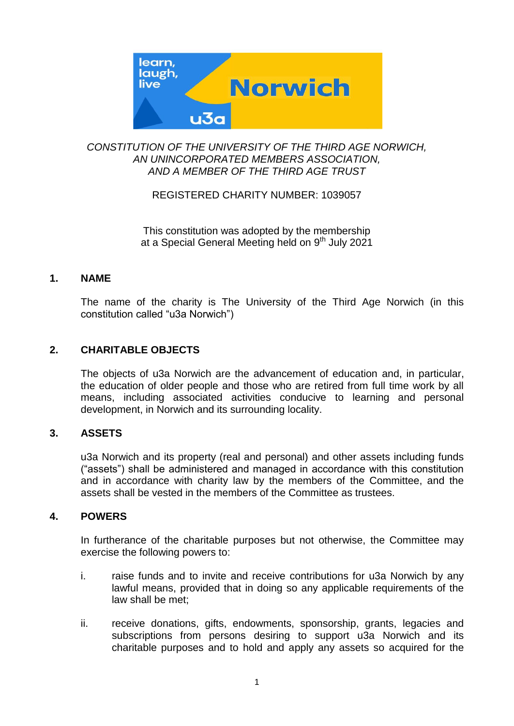

## *CONSTITUTION OF THE UNIVERSITY OF THE THIRD AGE NORWICH, AN UNINCORPORATED MEMBERS ASSOCIATION, AND A MEMBER OF THE THIRD AGE TRUST*

# REGISTERED CHARITY NUMBER: 1039057

This constitution was adopted by the membership at a Special General Meeting held on 9<sup>th</sup> July 2021

## **1. NAME**

The name of the charity is The University of the Third Age Norwich (in this constitution called "u3a Norwich")

## **2. CHARITABLE OBJECTS**

The objects of u3a Norwich are the advancement of education and, in particular, the education of older people and those who are retired from full time work by all means, including associated activities conducive to learning and personal development, in Norwich and its surrounding locality.

## **3. ASSETS**

u3a Norwich and its property (real and personal) and other assets including funds ("assets") shall be administered and managed in accordance with this constitution and in accordance with charity law by the members of the Committee, and the assets shall be vested in the members of the Committee as trustees.

## **4. POWERS**

In furtherance of the charitable purposes but not otherwise, the Committee may exercise the following powers to:

- i. raise funds and to invite and receive contributions for u3a Norwich by any lawful means, provided that in doing so any applicable requirements of the law shall be met;
- ii. receive donations, gifts, endowments, sponsorship, grants, legacies and subscriptions from persons desiring to support u3a Norwich and its charitable purposes and to hold and apply any assets so acquired for the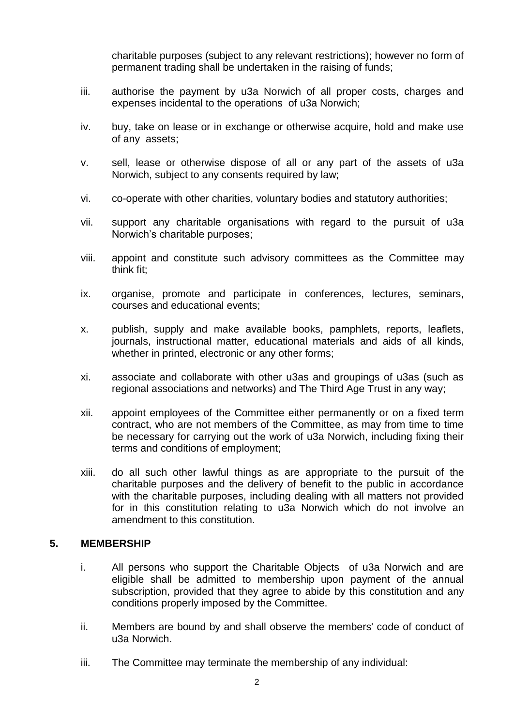charitable purposes (subject to any relevant restrictions); however no form of permanent trading shall be undertaken in the raising of funds;

- iii. authorise the payment by u3a Norwich of all proper costs, charges and expenses incidental to the operations of u3a Norwich;
- iv. buy, take on lease or in exchange or otherwise acquire, hold and make use of any assets;
- v. sell, lease or otherwise dispose of all or any part of the assets of u3a Norwich, subject to any consents required by law;
- vi. co-operate with other charities, voluntary bodies and statutory authorities;
- vii. support any charitable organisations with regard to the pursuit of u3a Norwich's charitable purposes;
- viii. appoint and constitute such advisory committees as the Committee may think fit;
- ix. organise, promote and participate in conferences, lectures, seminars, courses and educational events;
- x. publish, supply and make available books, pamphlets, reports, leaflets, journals, instructional matter, educational materials and aids of all kinds, whether in printed, electronic or any other forms;
- xi. associate and collaborate with other u3as and groupings of u3as (such as regional associations and networks) and The Third Age Trust in any way;
- xii. appoint employees of the Committee either permanently or on a fixed term contract, who are not members of the Committee, as may from time to time be necessary for carrying out the work of u3a Norwich, including fixing their terms and conditions of employment;
- xiii. do all such other lawful things as are appropriate to the pursuit of the charitable purposes and the delivery of benefit to the public in accordance with the charitable purposes, including dealing with all matters not provided for in this constitution relating to u3a Norwich which do not involve an amendment to this constitution.

## **5. MEMBERSHIP**

- i. All persons who support the Charitable Objects of u3a Norwich and are eligible shall be admitted to membership upon payment of the annual subscription, provided that they agree to abide by this constitution and any conditions properly imposed by the Committee.
- ii. Members are bound by and shall observe the members' code of conduct of u3a Norwich.
- iii. The Committee may terminate the membership of any individual: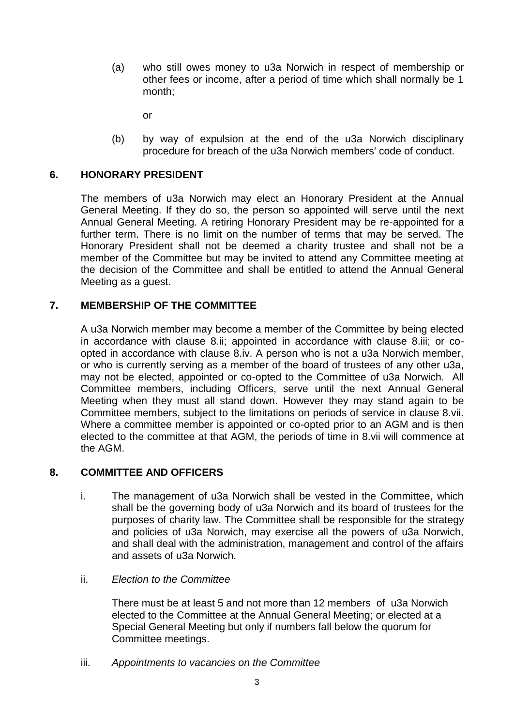(a) who still owes money to u3a Norwich in respect of membership or other fees or income, after a period of time which shall normally be 1 month;

or

(b) by way of expulsion at the end of the u3a Norwich disciplinary procedure for breach of the u3a Norwich members' code of conduct.

# **6. HONORARY PRESIDENT**

The members of u3a Norwich may elect an Honorary President at the Annual General Meeting. If they do so, the person so appointed will serve until the next Annual General Meeting. A retiring Honorary President may be re-appointed for a further term. There is no limit on the number of terms that may be served. The Honorary President shall not be deemed a charity trustee and shall not be a member of the Committee but may be invited to attend any Committee meeting at the decision of the Committee and shall be entitled to attend the Annual General Meeting as a guest.

## **7. MEMBERSHIP OF THE COMMITTEE**

A u3a Norwich member may become a member of the Committee by being elected in accordance with clause 8.ii; appointed in accordance with clause 8.iii; or coopted in accordance with clause 8.iv. A person who is not a u3a Norwich member, or who is currently serving as a member of the board of trustees of any other u3a, may not be elected, appointed or co-opted to the Committee of u3a Norwich. All Committee members, including Officers, serve until the next Annual General Meeting when they must all stand down. However they may stand again to be Committee members, subject to the limitations on periods of service in clause 8.vii. Where a committee member is appointed or co-opted prior to an AGM and is then elected to the committee at that AGM, the periods of time in 8.vii will commence at the AGM.

## **8. COMMITTEE AND OFFICERS**

- i. The management of u3a Norwich shall be vested in the Committee, which shall be the governing body of u3a Norwich and its board of trustees for the purposes of charity law. The Committee shall be responsible for the strategy and policies of u3a Norwich, may exercise all the powers of u3a Norwich, and shall deal with the administration, management and control of the affairs and assets of u3a Norwich.
- ii. *Election to the Committee*

There must be at least 5 and not more than 12 members of u3a Norwich elected to the Committee at the Annual General Meeting; or elected at a Special General Meeting but only if numbers fall below the quorum for Committee meetings.

iii. *Appointments to vacancies on the Committee*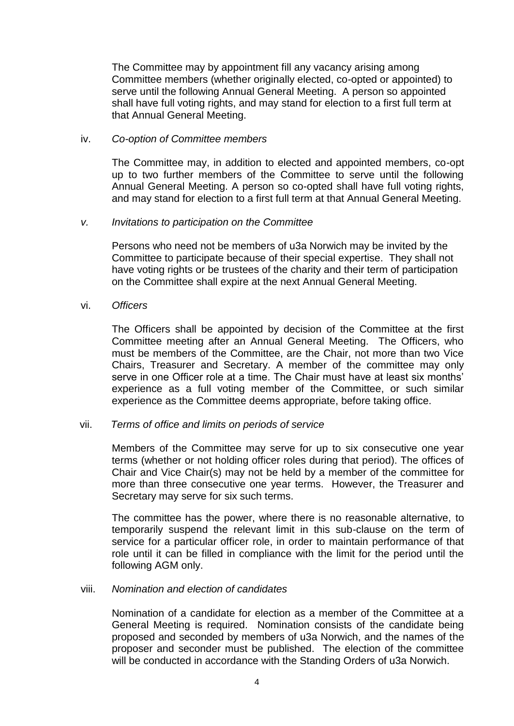The Committee may by appointment fill any vacancy arising among Committee members (whether originally elected, co-opted or appointed) to serve until the following Annual General Meeting. A person so appointed shall have full voting rights, and may stand for election to a first full term at that Annual General Meeting.

#### iv. *Co-option of Committee members*

The Committee may, in addition to elected and appointed members, co-opt up to two further members of the Committee to serve until the following Annual General Meeting. A person so co-opted shall have full voting rights, and may stand for election to a first full term at that Annual General Meeting.

#### *v. Invitations to participation on the Committee*

Persons who need not be members of u3a Norwich may be invited by the Committee to participate because of their special expertise. They shall not have voting rights or be trustees of the charity and their term of participation on the Committee shall expire at the next Annual General Meeting.

#### vi. *Officers*

The Officers shall be appointed by decision of the Committee at the first Committee meeting after an Annual General Meeting. The Officers, who must be members of the Committee, are the Chair, not more than two Vice Chairs, Treasurer and Secretary. A member of the committee may only serve in one Officer role at a time. The Chair must have at least six months' experience as a full voting member of the Committee, or such similar experience as the Committee deems appropriate, before taking office.

#### vii. *Terms of office and limits on periods of service*

Members of the Committee may serve for up to six consecutive one year terms (whether or not holding officer roles during that period). The offices of Chair and Vice Chair(s) may not be held by a member of the committee for more than three consecutive one year terms. However, the Treasurer and Secretary may serve for six such terms.

The committee has the power, where there is no reasonable alternative, to temporarily suspend the relevant limit in this sub-clause on the term of service for a particular officer role, in order to maintain performance of that role until it can be filled in compliance with the limit for the period until the following AGM only.

#### viii. *Nomination and election of candidates*

Nomination of a candidate for election as a member of the Committee at a General Meeting is required. Nomination consists of the candidate being proposed and seconded by members of u3a Norwich, and the names of the proposer and seconder must be published. The election of the committee will be conducted in accordance with the Standing Orders of u3a Norwich.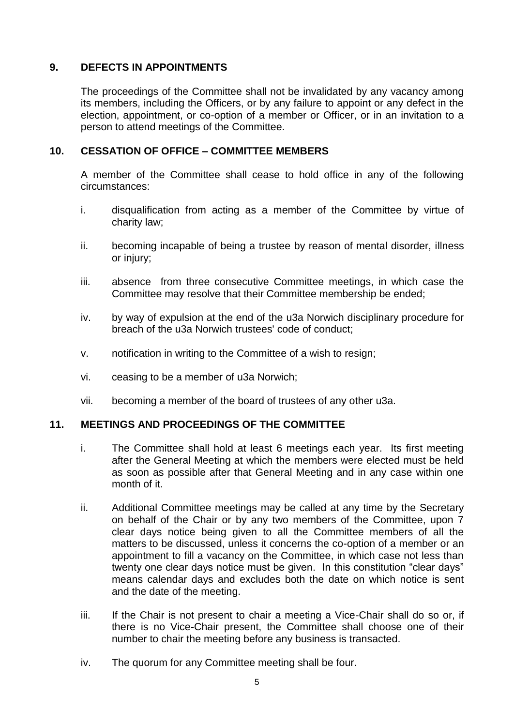## **9. DEFECTS IN APPOINTMENTS**

The proceedings of the Committee shall not be invalidated by any vacancy among its members, including the Officers, or by any failure to appoint or any defect in the election, appointment, or co-option of a member or Officer, or in an invitation to a person to attend meetings of the Committee.

## **10. CESSATION OF OFFICE – COMMITTEE MEMBERS**

A member of the Committee shall cease to hold office in any of the following circumstances:

- i. disqualification from acting as a member of the Committee by virtue of charity law;
- ii. becoming incapable of being a trustee by reason of mental disorder, illness or injury;
- iii. absence from three consecutive Committee meetings, in which case the Committee may resolve that their Committee membership be ended;
- iv. by way of expulsion at the end of the u3a Norwich disciplinary procedure for breach of the u3a Norwich trustees' code of conduct;
- v. notification in writing to the Committee of a wish to resign;
- vi. ceasing to be a member of u3a Norwich;
- vii. becoming a member of the board of trustees of any other u3a.

## **11. MEETINGS AND PROCEEDINGS OF THE COMMITTEE**

- i. The Committee shall hold at least 6 meetings each year. Its first meeting after the General Meeting at which the members were elected must be held as soon as possible after that General Meeting and in any case within one month of it.
- ii. Additional Committee meetings may be called at any time by the Secretary on behalf of the Chair or by any two members of the Committee, upon 7 clear days notice being given to all the Committee members of all the matters to be discussed, unless it concerns the co-option of a member or an appointment to fill a vacancy on the Committee, in which case not less than twenty one clear days notice must be given. In this constitution "clear days" means calendar days and excludes both the date on which notice is sent and the date of the meeting.
- iii. If the Chair is not present to chair a meeting a Vice-Chair shall do so or, if there is no Vice-Chair present, the Committee shall choose one of their number to chair the meeting before any business is transacted.
- iv. The quorum for any Committee meeting shall be four.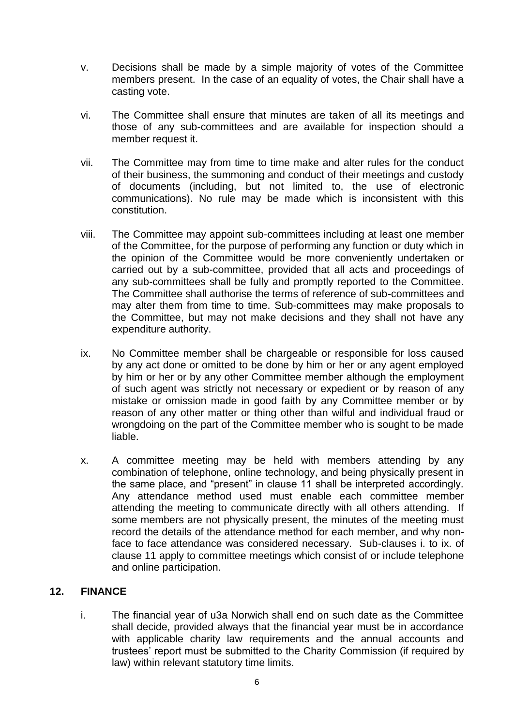- v. Decisions shall be made by a simple majority of votes of the Committee members present. In the case of an equality of votes, the Chair shall have a casting vote.
- vi. The Committee shall ensure that minutes are taken of all its meetings and those of any sub-committees and are available for inspection should a member request it.
- vii. The Committee may from time to time make and alter rules for the conduct of their business, the summoning and conduct of their meetings and custody of documents (including, but not limited to, the use of electronic communications). No rule may be made which is inconsistent with this constitution.
- viii. The Committee may appoint sub-committees including at least one member of the Committee, for the purpose of performing any function or duty which in the opinion of the Committee would be more conveniently undertaken or carried out by a sub-committee, provided that all acts and proceedings of any sub-committees shall be fully and promptly reported to the Committee. The Committee shall authorise the terms of reference of sub-committees and may alter them from time to time. Sub-committees may make proposals to the Committee, but may not make decisions and they shall not have any expenditure authority.
- ix. No Committee member shall be chargeable or responsible for loss caused by any act done or omitted to be done by him or her or any agent employed by him or her or by any other Committee member although the employment of such agent was strictly not necessary or expedient or by reason of any mistake or omission made in good faith by any Committee member or by reason of any other matter or thing other than wilful and individual fraud or wrongdoing on the part of the Committee member who is sought to be made liable.
- x. A committee meeting may be held with members attending by any combination of telephone, online technology, and being physically present in the same place, and "present" in clause 11 shall be interpreted accordingly. Any attendance method used must enable each committee member attending the meeting to communicate directly with all others attending. If some members are not physically present, the minutes of the meeting must record the details of the attendance method for each member, and why nonface to face attendance was considered necessary. Sub-clauses i. to ix. of clause 11 apply to committee meetings which consist of or include telephone and online participation.

# **12. FINANCE**

i. The financial year of u3a Norwich shall end on such date as the Committee shall decide, provided always that the financial year must be in accordance with applicable charity law requirements and the annual accounts and trustees' report must be submitted to the Charity Commission (if required by law) within relevant statutory time limits.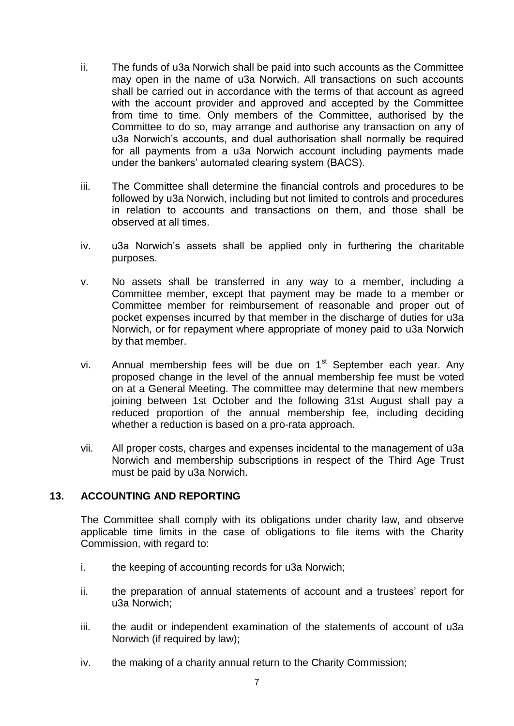- ii. The funds of u3a Norwich shall be paid into such accounts as the Committee may open in the name of u3a Norwich. All transactions on such accounts shall be carried out in accordance with the terms of that account as agreed with the account provider and approved and accepted by the Committee from time to time. Only members of the Committee, authorised by the Committee to do so, may arrange and authorise any transaction on any of u3a Norwich's accounts, and dual authorisation shall normally be required for all payments from a u3a Norwich account including payments made under the bankers' automated clearing system (BACS).
- iii. The Committee shall determine the financial controls and procedures to be followed by u3a Norwich, including but not limited to controls and procedures in relation to accounts and transactions on them, and those shall be observed at all times.
- iv. u3a Norwich's assets shall be applied only in furthering the charitable purposes.
- v. No assets shall be transferred in any way to a member, including a Committee member, except that payment may be made to a member or Committee member for reimbursement of reasonable and proper out of pocket expenses incurred by that member in the discharge of duties for u3a Norwich, or for repayment where appropriate of money paid to u3a Norwich by that member.
- vi. Annual membership fees will be due on  $1<sup>st</sup>$  September each year. Any proposed change in the level of the annual membership fee must be voted on at a General Meeting. The committee may determine that new members joining between 1st October and the following 31st August shall pay a reduced proportion of the annual membership fee, including deciding whether a reduction is based on a pro-rata approach.
- vii. All proper costs, charges and expenses incidental to the management of u3a Norwich and membership subscriptions in respect of the Third Age Trust must be paid by u3a Norwich.

## **13. ACCOUNTING AND REPORTING**

The Committee shall comply with its obligations under charity law, and observe applicable time limits in the case of obligations to file items with the Charity Commission, with regard to:

- i. the keeping of accounting records for u3a Norwich;
- ii. the preparation of annual statements of account and a trustees' report for u3a Norwich;
- iii. the audit or independent examination of the statements of account of u3a Norwich (if required by law);
- iv. the making of a charity annual return to the Charity Commission;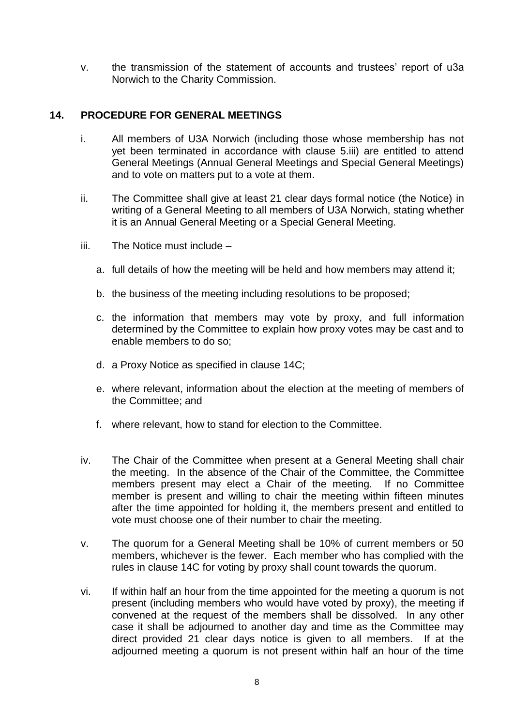v. the transmission of the statement of accounts and trustees' report of u3a Norwich to the Charity Commission.

## **14. PROCEDURE FOR GENERAL MEETINGS**

- i. All members of U3A Norwich (including those whose membership has not yet been terminated in accordance with clause 5.iii) are entitled to attend General Meetings (Annual General Meetings and Special General Meetings) and to vote on matters put to a vote at them.
- ii. The Committee shall give at least 21 clear days formal notice (the Notice) in writing of a General Meeting to all members of U3A Norwich, stating whether it is an Annual General Meeting or a Special General Meeting.
- iii. The Notice must include
	- a. full details of how the meeting will be held and how members may attend it;
	- b. the business of the meeting including resolutions to be proposed;
	- c. the information that members may vote by proxy, and full information determined by the Committee to explain how proxy votes may be cast and to enable members to do so;
	- d. a Proxy Notice as specified in clause 14C;
	- e. where relevant, information about the election at the meeting of members of the Committee; and
	- f. where relevant, how to stand for election to the Committee.
- iv. The Chair of the Committee when present at a General Meeting shall chair the meeting. In the absence of the Chair of the Committee, the Committee members present may elect a Chair of the meeting. If no Committee member is present and willing to chair the meeting within fifteen minutes after the time appointed for holding it, the members present and entitled to vote must choose one of their number to chair the meeting.
- v. The quorum for a General Meeting shall be 10% of current members or 50 members, whichever is the fewer. Each member who has complied with the rules in clause 14C for voting by proxy shall count towards the quorum.
- vi. If within half an hour from the time appointed for the meeting a quorum is not present (including members who would have voted by proxy), the meeting if convened at the request of the members shall be dissolved. In any other case it shall be adjourned to another day and time as the Committee may direct provided 21 clear days notice is given to all members. If at the adjourned meeting a quorum is not present within half an hour of the time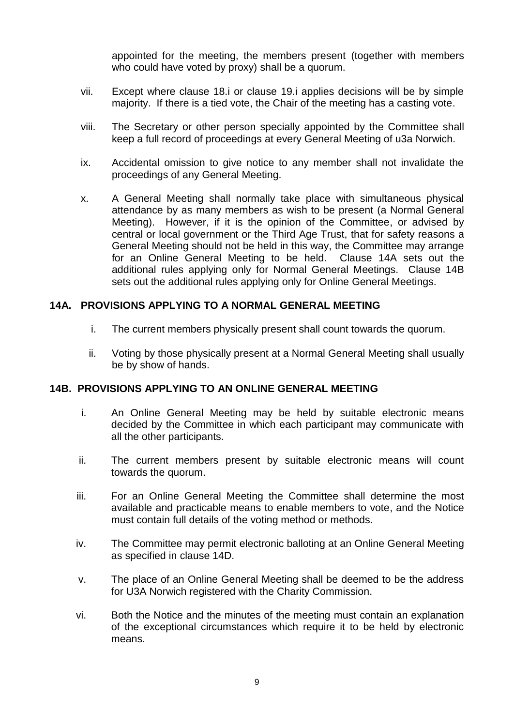appointed for the meeting, the members present (together with members who could have voted by proxy) shall be a quorum.

- vii. Except where clause 18.i or clause 19.i applies decisions will be by simple majority. If there is a tied vote, the Chair of the meeting has a casting vote.
- viii. The Secretary or other person specially appointed by the Committee shall keep a full record of proceedings at every General Meeting of u3a Norwich.
- ix. Accidental omission to give notice to any member shall not invalidate the proceedings of any General Meeting.
- x. A General Meeting shall normally take place with simultaneous physical attendance by as many members as wish to be present (a Normal General Meeting). However, if it is the opinion of the Committee, or advised by central or local government or the Third Age Trust, that for safety reasons a General Meeting should not be held in this way, the Committee may arrange for an Online General Meeting to be held. Clause 14A sets out the additional rules applying only for Normal General Meetings. Clause 14B sets out the additional rules applying only for Online General Meetings.

## **14A. PROVISIONS APPLYING TO A NORMAL GENERAL MEETING**

- i. The current members physically present shall count towards the quorum.
- ii. Voting by those physically present at a Normal General Meeting shall usually be by show of hands.

#### **14B. PROVISIONS APPLYING TO AN ONLINE GENERAL MEETING**

- i. An Online General Meeting may be held by suitable electronic means decided by the Committee in which each participant may communicate with all the other participants.
- ii. The current members present by suitable electronic means will count towards the quorum.
- iii. For an Online General Meeting the Committee shall determine the most available and practicable means to enable members to vote, and the Notice must contain full details of the voting method or methods.
- iv. The Committee may permit electronic balloting at an Online General Meeting as specified in clause 14D.
- v. The place of an Online General Meeting shall be deemed to be the address for U3A Norwich registered with the Charity Commission.
- vi. Both the Notice and the minutes of the meeting must contain an explanation of the exceptional circumstances which require it to be held by electronic means.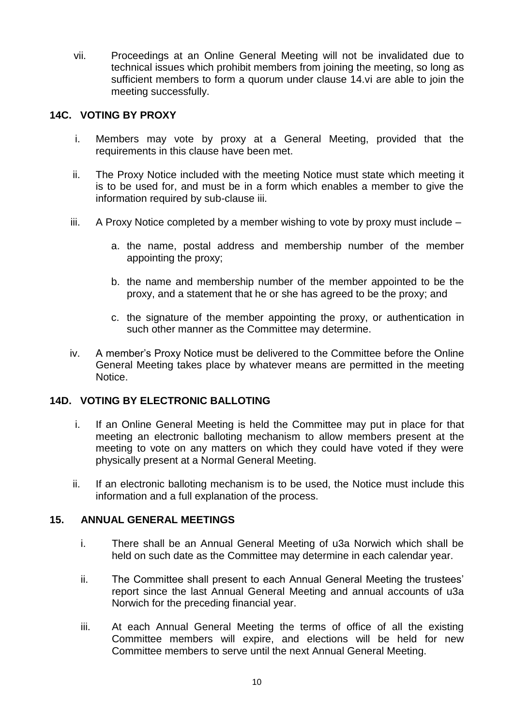vii. Proceedings at an Online General Meeting will not be invalidated due to technical issues which prohibit members from joining the meeting, so long as sufficient members to form a quorum under clause 14.vi are able to join the meeting successfully.

## **14C. VOTING BY PROXY**

- i. Members may vote by proxy at a General Meeting, provided that the requirements in this clause have been met.
- ii. The Proxy Notice included with the meeting Notice must state which meeting it is to be used for, and must be in a form which enables a member to give the information required by sub-clause iii.
- $iii.$  A Proxy Notice completed by a member wishing to vote by proxy must include  $$ 
	- a. the name, postal address and membership number of the member appointing the proxy;
	- b. the name and membership number of the member appointed to be the proxy, and a statement that he or she has agreed to be the proxy; and
	- c. the signature of the member appointing the proxy, or authentication in such other manner as the Committee may determine.
- iv. A member's Proxy Notice must be delivered to the Committee before the Online General Meeting takes place by whatever means are permitted in the meeting Notice.

## **14D. VOTING BY ELECTRONIC BALLOTING**

- i. If an Online General Meeting is held the Committee may put in place for that meeting an electronic balloting mechanism to allow members present at the meeting to vote on any matters on which they could have voted if they were physically present at a Normal General Meeting.
- ii. If an electronic balloting mechanism is to be used, the Notice must include this information and a full explanation of the process.

## **15. ANNUAL GENERAL MEETINGS**

- i. There shall be an Annual General Meeting of u3a Norwich which shall be held on such date as the Committee may determine in each calendar year.
- ii. The Committee shall present to each Annual General Meeting the trustees' report since the last Annual General Meeting and annual accounts of u3a Norwich for the preceding financial year.
- iii. At each Annual General Meeting the terms of office of all the existing Committee members will expire, and elections will be held for new Committee members to serve until the next Annual General Meeting.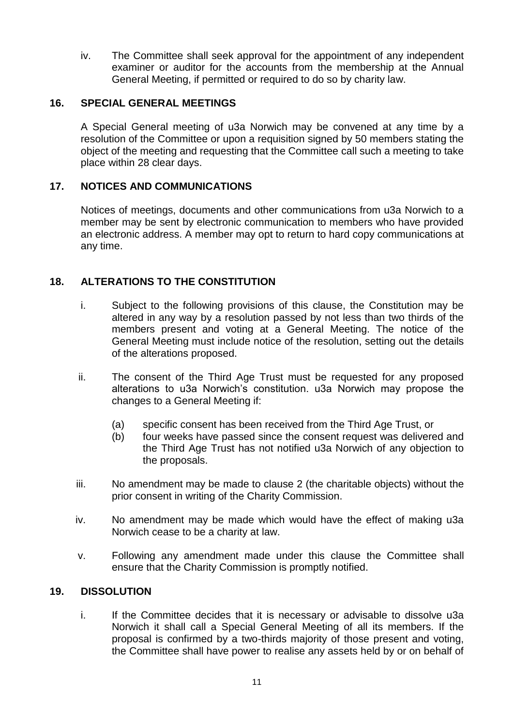iv. The Committee shall seek approval for the appointment of any independent examiner or auditor for the accounts from the membership at the Annual General Meeting, if permitted or required to do so by charity law.

## **16. SPECIAL GENERAL MEETINGS**

A Special General meeting of u3a Norwich may be convened at any time by a resolution of the Committee or upon a requisition signed by 50 members stating the object of the meeting and requesting that the Committee call such a meeting to take place within 28 clear days.

# **17. NOTICES AND COMMUNICATIONS**

Notices of meetings, documents and other communications from u3a Norwich to a member may be sent by electronic communication to members who have provided an electronic address. A member may opt to return to hard copy communications at any time.

## **18. ALTERATIONS TO THE CONSTITUTION**

- i. Subject to the following provisions of this clause, the Constitution may be altered in any way by a resolution passed by not less than two thirds of the members present and voting at a General Meeting. The notice of the General Meeting must include notice of the resolution, setting out the details of the alterations proposed.
- ii. The consent of the Third Age Trust must be requested for any proposed alterations to u3a Norwich's constitution. u3a Norwich may propose the changes to a General Meeting if:
	- (a) specific consent has been received from the Third Age Trust, or
	- (b) four weeks have passed since the consent request was delivered and the Third Age Trust has not notified u3a Norwich of any objection to the proposals.
- iii. No amendment may be made to clause 2 (the charitable objects) without the prior consent in writing of the Charity Commission.
- iv. No amendment may be made which would have the effect of making u3a Norwich cease to be a charity at law.
- v. Following any amendment made under this clause the Committee shall ensure that the Charity Commission is promptly notified.

## **19. DISSOLUTION**

i. If the Committee decides that it is necessary or advisable to dissolve u3a Norwich it shall call a Special General Meeting of all its members. If the proposal is confirmed by a two-thirds majority of those present and voting, the Committee shall have power to realise any assets held by or on behalf of